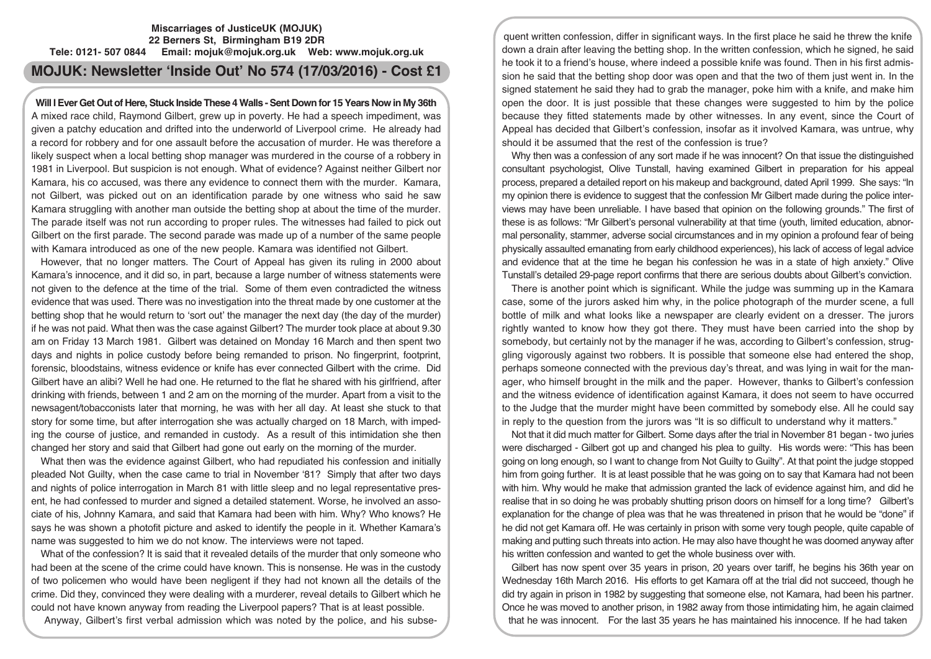## **Miscarriages of JusticeUK (MOJUK) 22 Berners St, Birmingham B19 2DR Tele: 0121- 507 0844 Email: mojuk@mojuk.org.uk Web: www.mojuk.org.uk**

# **MOJUK: Newsletter 'Inside Out' No 574 (17/03/2016) - Cost £1**

**Will IEver Get Out of Here,Stuck Inside These 4 Walls -Sent Down for 15Years Now in My 36th** A mixed race child, Raymond Gilbert, grew up in poverty. He had a speech impediment, was given a patchy education and drifted into the underworld of Liverpool crime. He already had a record for robbery and for one assault before the accusation of murder. He was therefore a likely suspect when a local betting shop manager was murdered in the course of a robbery in 1981 in Liverpool. But suspicion is not enough. What of evidence? Against neither Gilbert nor Kamara, his co accused, was there any evidence to connect them with the murder. Kamara, not Gilbert, was picked out on an identification parade by one witness who said he saw Kamara struggling with another man outside the betting shop at about the time of the murder. The parade itself was not run according to proper rules. The witnesses had failed to pick out Gilbert on the first parade. The second parade was made up of a number of the same people with Kamara introduced as one of the new people. Kamara was identified not Gilbert.

However, that no longer matters. The Court of Appeal has given its ruling in 2000 about Kamara's innocence, and it did so, in part, because a large number of witness statements were not given to the defence at the time of the trial. Some of them even contradicted the witness evidence that was used. There was no investigation into the threat made by one customer at the betting shop that he would return to 'sort out' the manager the next day (the day of the murder) if he was not paid. What then was the case against Gilbert? The murder took place at about 9.30 am on Friday 13 March 1981. Gilbert was detained on Monday 16 March and then spent two days and nights in police custody before being remanded to prison. No fingerprint, footprint, forensic, bloodstains, witness evidence or knife has ever connected Gilbert with the crime. Did Gilbert have an alibi? Well he had one. He returned to the flat he shared with his girlfriend, after drinking with friends, between 1 and 2 am on the morning of the murder. Apart from a visit to the newsagent/tobacconists later that morning, he was with her all day. At least she stuck to that story for some time, but after interrogation she was actually charged on 18 March, with impeding the course of justice, and remanded in custody. As a result of this intimidation she then changed her story and said that Gilbert had gone out early on the morning of the murder.

What then was the evidence against Gilbert, who had repudiated his confession and initially pleaded Not Guilty, when the case came to trial in November '81? Simply that after two days and nights of police interrogation in March 81 with little sleep and no legal representative present, he had confessed to murder and signed a detailed statement. Worse, he involved an associate of his, Johnny Kamara, and said that Kamara had been with him. Why? Who knows? He says he was shown a photofit picture and asked to identify the people in it. Whether Kamara's name was suggested to him we do not know. The interviews were not taped.

What of the confession? It is said that it revealed details of the murder that only someone who had been at the scene of the crime could have known. This is nonsense. He was in the custody of two policemen who would have been negligent if they had not known all the details of the crime. Did they, convinced they were dealing with a murderer, reveal details to Gilbert which he could not have known anyway from reading the Liverpool papers? That is at least possible.

Anyway, Gilbert's first verbal admission which was noted by the police, and his subse-

quent written confession, differ in significant ways. In the first place he said he threw the knife down a drain after leaving the betting shop. In the written confession, which he signed, he said he took it to a friend's house, where indeed a possible knife was found. Then in his first admission he said that the betting shop door was open and that the two of them just went in. In the signed statement he said they had to grab the manager, poke him with a knife, and make him open the door. It is just possible that these changes were suggested to him by the police because they fitted statements made by other witnesses. In any event, since the Court of Appeal has decided that Gilbert's confession, insofar as it involved Kamara, was untrue, why should it be assumed that the rest of the confession is true?

Why then was a confession of any sort made if he was innocent? On that issue the distinguished consultant psychologist, Olive Tunstall, having examined Gilbert in preparation for his appeal process, prepared a detailed report on his makeup and background, dated April 1999. She says: "In my opinion there is evidence to suggest that the confession Mr Gilbert made during the police interviews may have been unreliable. I have based that opinion on the following grounds." The first of these is as follows: "Mr Gilbert's personal vulnerability at that time (youth, limited education, abnormal personality, stammer, adverse social circumstances and in my opinion a profound fear of being physically assaulted emanating from early childhood experiences), his lack of access of legal advice and evidence that at the time he began his confession he was in a state of high anxiety." Olive Tunstall's detailed 29-page report confirms that there are serious doubts about Gilbert's conviction.

There is another point which is significant. While the judge was summing up in the Kamara case, some of the jurors asked him why, in the police photograph of the murder scene, a full bottle of milk and what looks like a newspaper are clearly evident on a dresser. The jurors rightly wanted to know how they got there. They must have been carried into the shop by somebody, but certainly not by the manager if he was, according to Gilbert's confession, struggling vigorously against two robbers. It is possible that someone else had entered the shop, perhaps someone connected with the previous day's threat, and was lying in wait for the manager, who himself brought in the milk and the paper. However, thanks to Gilbert's confession and the witness evidence of identification against Kamara, it does not seem to have occurred to the Judge that the murder might have been committed by somebody else. All he could say in reply to the question from the jurors was "It is so difficult to understand why it matters."

Not that it did much matter for Gilbert. Some days after the trial in November 81 began - two juries were discharged - Gilbert got up and changed his plea to guilty. His words were: "This has been going on long enough, so I want to change from Not Guilty to Guilty". At that point the judge stopped him from going further. It is at least possible that he was going on to say that Kamara had not been with him. Why would he make that admission granted the lack of evidence against him, and did he realise that in so doing he was probably shutting prison doors on himself for a long time? Gilbert's explanation for the change of plea was that he was threatened in prison that he would be "done" if he did not get Kamara off. He was certainly in prison with some very tough people, quite capable of making and putting such threats into action. He may also have thought he was doomed anyway after his written confession and wanted to get the whole business over with.

Gilbert has now spent over 35 years in prison, 20 years over tariff, he begins his 36th year on Wednesday 16th March 2016. His efforts to get Kamara off at the trial did not succeed, though he did try again in prison in 1982 by suggesting that someone else, not Kamara, had been his partner. Once he was moved to another prison, in 1982 away from those intimidating him, he again claimed that he was innocent. For the last 35 years he has maintained his innocence. If he had taken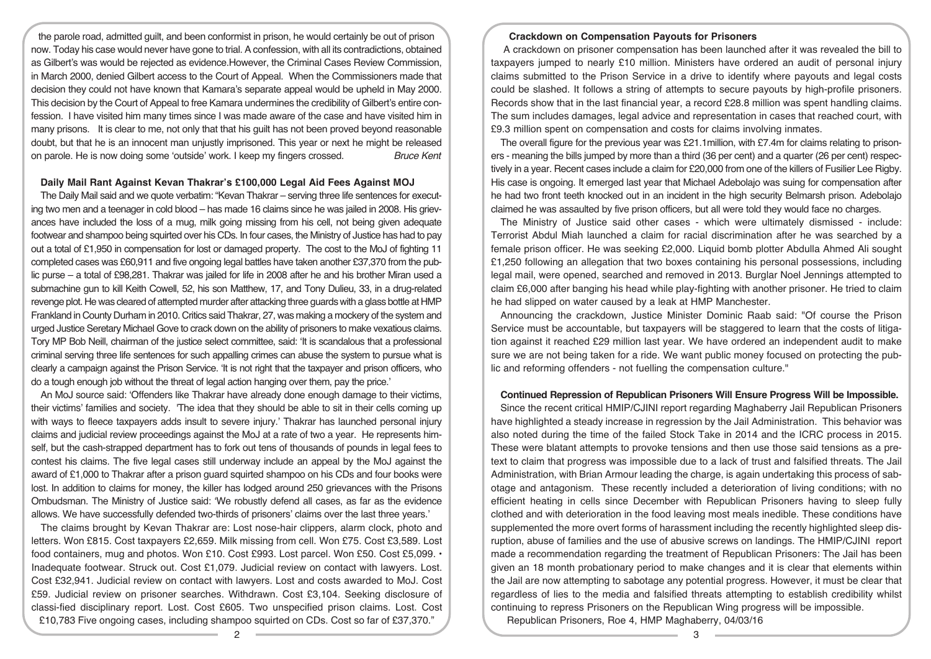the parole road, admitted guilt, and been conformist in prison, he would certainly be out of prison now. Today his case would never have gone to trial. A confession, with all its contradictions, obtained as Gilbert's was would be rejected as evidence.However, the Criminal Cases Review Commission, in March 2000, denied Gilbert access to the Court of Appeal. When the Commissioners made that decision they could not have known that Kamara's separate appeal would be upheld in May 2000. This decision by the Court of Appeal to free Kamara undermines the credibility of Gilbert's entire confession. I have visited him many times since I was made aware of the case and have visited him in many prisons. It is clear to me, not only that that his guilt has not been proved beyond reasonable doubt, but that he is an innocent man unjustly imprisoned. This year or next he might be released on parole. He is now doing some 'outside' work. I keep my fingers crossed. *Bruce Kent*

#### **Daily Mail Rant Against Kevan Thakrar's £100,000 Legal Aid Fees Against MOJ**

The Daily Mail said and we quote verbatim: "Kevan Thakrar – serving three life sentences for executing two men and a teenager in cold blood – has made 16 claims since he was jailed in 2008. His grievances have included the loss of a mug, milk going missing from his cell, not being given adequate footwear and shampoo being squirted over his CDs. In four cases, the Ministry of Justice has had to pay out a total of £1,950 in compensation for lost or damaged property. The cost to the MoJ of fighting 11 completed cases was £60,911 and five ongoing legal battles have taken another £37,370 from the public purse – a total of £98,281. Thakrar was jailed for life in 2008 after he and his brother Miran used a submachine gun to kill Keith Cowell, 52, his son Matthew, 17, and Tony Dulieu, 33, in a drug-related revenge plot. He was cleared of attempted murder after attacking three guards with a glass bottle at HMP Frankland in County Durham in 2010. Critics said Thakrar, 27, was making a mockery of the system and urged Justice Seretary Michael Gove to crack down on the ability of prisoners to make vexatious claims. Tory MP Bob Neill, chairman of the justice select committee, said: 'It is scandalous that a professional criminal serving three life sentences for such appalling crimes can abuse the system to pursue what is clearly a campaign against the Prison Service. 'It is not right that the taxpayer and prison officers, who do a tough enough job without the threat of legal action hanging over them, pay the price.'

An MoJ source said: 'Offenders like Thakrar have already done enough damage to their victims, their victims' families and society. 'The idea that they should be able to sit in their cells coming up with ways to fleece taxpayers adds insult to severe injury.' Thakrar has launched personal injury claims and judicial review proceedings against the MoJ at a rate of two a year. He represents himself, but the cash-strapped department has to fork out tens of thousands of pounds in legal fees to contest his claims. The five legal cases still underway include an appeal by the MoJ against the award of £1,000 to Thakrar after a prison guard squirted shampoo on his CDs and four books were lost. In addition to claims for money, the killer has lodged around 250 grievances with the Prisons Ombudsman. The Ministry of Justice said: 'We robustly defend all cases, as far as the evidence allows. We have successfully defended two-thirds of prisoners' claims over the last three years.'

The claims brought by Kevan Thakrar are: Lost nose-hair clippers, alarm clock, photo and letters. Won £815. Cost taxpayers £2,659. Milk missing from cell. Won £75. Cost £3,589. Lost food containers, mug and photos. Won £10. Cost £993. Lost parcel. Won £50. Cost £5,099. • Inadequate footwear. Struck out. Cost £1,079. Judicial review on contact with lawyers. Lost. Cost £32,941. Judicial review on contact with lawyers. Lost and costs awarded to MoJ. Cost £59. Judicial review on prisoner searches. Withdrawn. Cost £3,104. Seeking disclosure of classi-fied disciplinary report. Lost. Cost £605. Two unspecified prison claims. Lost. Cost £10,783 Five ongoing cases, including shampoo squirted on CDs. Cost so far of £37,370."

#### **Crackdown on Compensation Payouts for Prisoners**

A crackdown on prisoner compensation has been launched after it was revealed the bill to taxpayers jumped to nearly £10 million. Ministers have ordered an audit of personal injury claims submitted to the Prison Service in a drive to identify where payouts and legal costs could be slashed. It follows a string of attempts to secure payouts by high-profile prisoners. Records show that in the last financial year, a record £28.8 million was spent handling claims. The sum includes damages, legal advice and representation in cases that reached court, with £9.3 million spent on compensation and costs for claims involving inmates.

The overall figure for the previous year was £21.1 million, with £7.4m for claims relating to prisoners - meaning the bills jumped by more than a third (36 per cent) and a quarter (26 per cent) respectively in a year. Recent cases include a claim for £20,000 from one of the killers of Fusilier Lee Rigby. His case is ongoing. It emerged last year that Michael Adebolajo was suing for compensation after he had two front teeth knocked out in an incident in the high security Belmarsh prison. Adebolajo claimed he was assaulted by five prison officers, but all were told they would face no charges.

The Ministry of Justice said other cases - which were ultimately dismissed - include: Terrorist Abdul Miah launched a claim for racial discrimination after he was searched by a female prison officer. He was seeking £2,000. Liquid bomb plotter Abdulla Ahmed Ali sought £1,250 following an allegation that two boxes containing his personal possessions, including legal mail, were opened, searched and removed in 2013. Burglar Noel Jennings attempted to claim £6,000 after banging his head while play-fighting with another prisoner. He tried to claim he had slipped on water caused by a leak at HMP Manchester.

Announcing the crackdown, Justice Minister Dominic Raab said: "Of course the Prison Service must be accountable, but taxpayers will be staggered to learn that the costs of litigation against it reached £29 million last year. We have ordered an independent audit to make sure we are not being taken for a ride. We want public money focused on protecting the public and reforming offenders - not fuelling the compensation culture."

## **Continued Repression of Republican Prisoners Will Ensure Progress Will be Impossible.**

Since the recent critical HMIP/CJINI report regarding Maghaberry Jail Republican Prisoners have highlighted a steady increase in regression by the Jail Administration. This behavior was also noted during the time of the failed Stock Take in 2014 and the ICRC process in 2015. These were blatant attempts to provoke tensions and then use those said tensions as a pretext to claim that progress was impossible due to a lack of trust and falsified threats. The Jail Administration, with Brian Armour leading the charge, is again undertaking this process of sabotage and antagonism. These recently included a deterioration of living conditions; with no efficient heating in cells since December with Republican Prisoners having to sleep fully clothed and with deterioration in the food leaving most meals inedible. These conditions have supplemented the more overt forms of harassment including the recently highlighted sleep disruption, abuse of families and the use of abusive screws on landings. The HMIP/CJINI report made a recommendation regarding the treatment of Republican Prisoners: The Jail has been given an 18 month probationary period to make changes and it is clear that elements within the Jail are now attempting to sabotage any potential progress. However, it must be clear that regardless of lies to the media and falsified threats attempting to establish credibility whilst continuing to repress Prisoners on the Republican Wing progress will be impossible.

Republican Prisoners, Roe 4, HMP Maghaberry, 04/03/16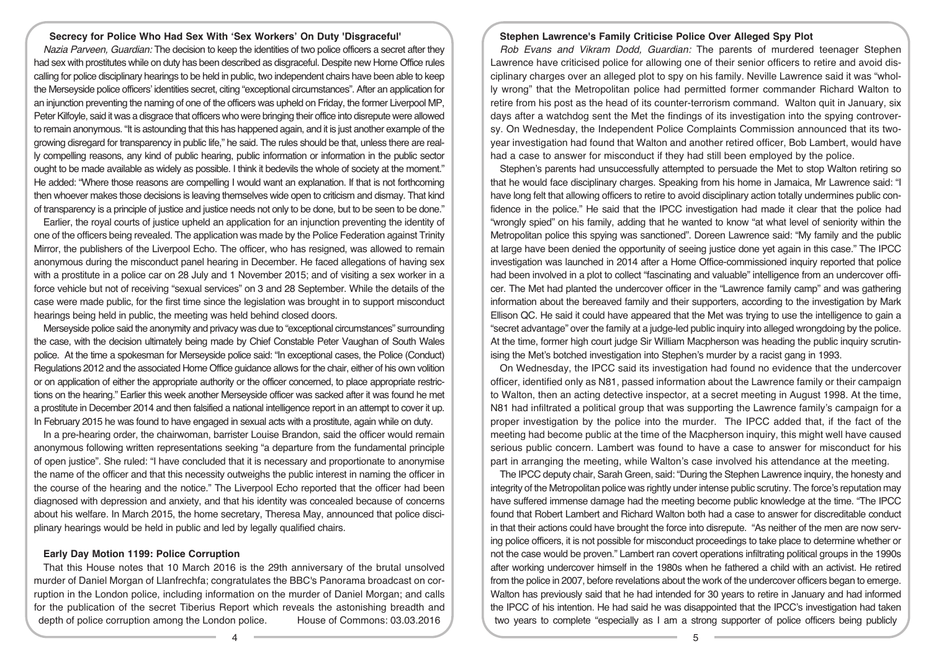### **Secrecy for Police Who Had Sex With 'Sex Workers' On Duty 'Disgraceful'**

*Nazia Parveen, Guardian:* The decision to keep the identities of two police officers a secret after they had sex with prostitutes while on duty has been described as disgraceful. Despite new Home Office rules calling for police disciplinary hearings to be held in public, two independent chairs have been able to keep the Merseyside police officers' identities secret, citing "exceptional circumstances". After an application for an injunction preventing the naming of one of the officers was upheld on Friday, the former Liverpool MP, Peter Kilfoyle, said it was a disgrace that officers who were bringing their office into disrepute were allowed to remain anonymous. "It is astounding that this has happened again, and it is just another example of the growing disregard for transparency in public life," he said. The rules should be that, unless there are really compelling reasons, any kind of public hearing, public information or information in the public sector ought to be made available as widely as possible. I think it bedevils the whole of society at the moment." He added: "Where those reasons are compelling I would want an explanation. If that is not forthcoming then whoever makes those decisions is leaving themselves wide open to criticism and dismay. That kind of transparency is a principle of justice and justice needs not only to be done, but to be seen to be done."

Earlier, the royal courts of justice upheld an application for an injunction preventing the identity of one of the officers being revealed. The application was made by the Police Federation against Trinity Mirror, the publishers of the Liverpool Echo. The officer, who has resigned, was allowed to remain anonymous during the misconduct panel hearing in December. He faced allegations of having sex with a prostitute in a police car on 28 July and 1 November 2015; and of visiting a sex worker in a force vehicle but not of receiving "sexual services" on 3 and 28 September. While the details of the case were made public, for the first time since the legislation was brought in to support misconduct hearings being held in public, the meeting was held behind closed doors.

Merseyside police said the anonymity and privacy was due to "exceptional circumstances" surrounding the case, with the decision ultimately being made by Chief Constable Peter Vaughan of South Wales police. At the time a spokesman for Merseyside police said: "In exceptional cases, the Police (Conduct) Regulations 2012 and the associated Home Office guidance allows for the chair, either of his own volition or on application of either the appropriate authority or the officer concerned, to place appropriate restrictions on the hearing." Earlier this week another Merseyside officer was sacked after it was found he met a prostitute in December 2014 and then falsified a national intelligence report in an attempt to cover it up. In February 2015 he was found to have engaged in sexual acts with a prostitute, again while on duty.

In a pre-hearing order, the chairwoman, barrister Louise Brandon, said the officer would remain anonymous following written representations seeking "a departure from the fundamental principle of open justice". She ruled: "I have concluded that it is necessary and proportionate to anonymise the name of the officer and that this necessity outweighs the public interest in naming the officer in the course of the hearing and the notice." The Liverpool Echo reported that the officer had been diagnosed with depression and anxiety, and that his identity was concealed because of concerns about his welfare. In March 2015, the home secretary, Theresa May, announced that police disciplinary hearings would be held in public and led by legally qualified chairs.

## **Early Day Motion 1199: Police Corruption**

That this House notes that 10 March 2016 is the 29th anniversary of the brutal unsolved murder of Daniel Morgan of Llanfrechfa; congratulates the BBC's Panorama broadcast on corruption in the London police, including information on the murder of Daniel Morgan; and calls for the publication of the secret Tiberius Report which reveals the astonishing breadth and depth of police corruption among the London police. House of Commons: 03.03.2016

## **Stephen Lawrence's Family Criticise Police Over Alleged Spy Plot**

*Rob Evans and Vikram Dodd, Guardian:* The parents of murdered teenager Stephen Lawrence have criticised police for allowing one of their senior officers to retire and avoid disciplinary charges over an alleged plot to spy on his family. Neville Lawrence said it was "wholly wrong" that the Metropolitan police had permitted former commander Richard Walton to retire from his post as the head of its counter-terrorism command. Walton quit in January, six days after a watchdog sent the Met the findings of its investigation into the spying controversy. On Wednesday, the Independent Police Complaints Commission announced that its twoyear investigation had found that Walton and another retired officer, Bob Lambert, would have had a case to answer for misconduct if they had still been employed by the police.

Stephen's parents had unsuccessfully attempted to persuade the Met to stop Walton retiring so that he would face disciplinary charges. Speaking from his home in Jamaica, Mr Lawrence said: "I have long felt that allowing officers to retire to avoid disciplinary action totally undermines public confidence in the police." He said that the IPCC investigation had made it clear that the police had "wrongly spied" on his family, adding that he wanted to know "at what level of seniority within the Metropolitan police this spying was sanctioned". Doreen Lawrence said: "My family and the public at large have been denied the opportunity of seeing justice done yet again in this case." The IPCC investigation was launched in 2014 after a Home Office-commissioned inquiry reported that police had been involved in a plot to collect "fascinating and valuable" intelligence from an undercover officer. The Met had planted the undercover officer in the "Lawrence family camp" and was gathering information about the bereaved family and their supporters, according to the investigation by Mark Ellison QC. He said it could have appeared that the Met was trying to use the intelligence to gain a "secret advantage" over the family at a judge-led public inquiry into alleged wrongdoing by the police. At the time, former high court judge Sir William Macpherson was heading the public inquiry scrutinising the Met's botched investigation into Stephen's murder by a racist gang in 1993.

On Wednesday, the IPCC said its investigation had found no evidence that the undercover officer, identified only as N81, passed information about the Lawrence family or their campaign to Walton, then an acting detective inspector, at a secret meeting in August 1998. At the time, N81 had infiltrated a political group that was supporting the Lawrence family's campaign for a proper investigation by the police into the murder. The IPCC added that, if the fact of the meeting had become public at the time of the Macpherson inquiry, this might well have caused serious public concern. Lambert was found to have a case to answer for misconduct for his part in arranging the meeting, while Walton's case involved his attendance at the meeting.

The IPCC deputy chair, Sarah Green, said: "During the Stephen Lawrence inquiry, the honesty and integrity of the Metropolitan police was rightly under intense public scrutiny. The force's reputation may have suffered immense damage had the meeting become public knowledge at the time. "The IPCC found that Robert Lambert and Richard Walton both had a case to answer for discreditable conduct in that their actions could have brought the force into disrepute. "As neither of the men are now serving police officers, it is not possible for misconduct proceedings to take place to determine whether or not the case would be proven." Lambert ran covert operations infiltrating political groups in the 1990s after working undercover himself in the 1980s when he fathered a child with an activist. He retired from the police in 2007, before revelations about the work of the undercover officers began to emerge. Walton has previously said that he had intended for 30 years to retire in January and had informed the IPCC of his intention. He had said he was disappointed that the IPCC's investigation had taken two years to complete "especially as I am a strong supporter of police officers being publicly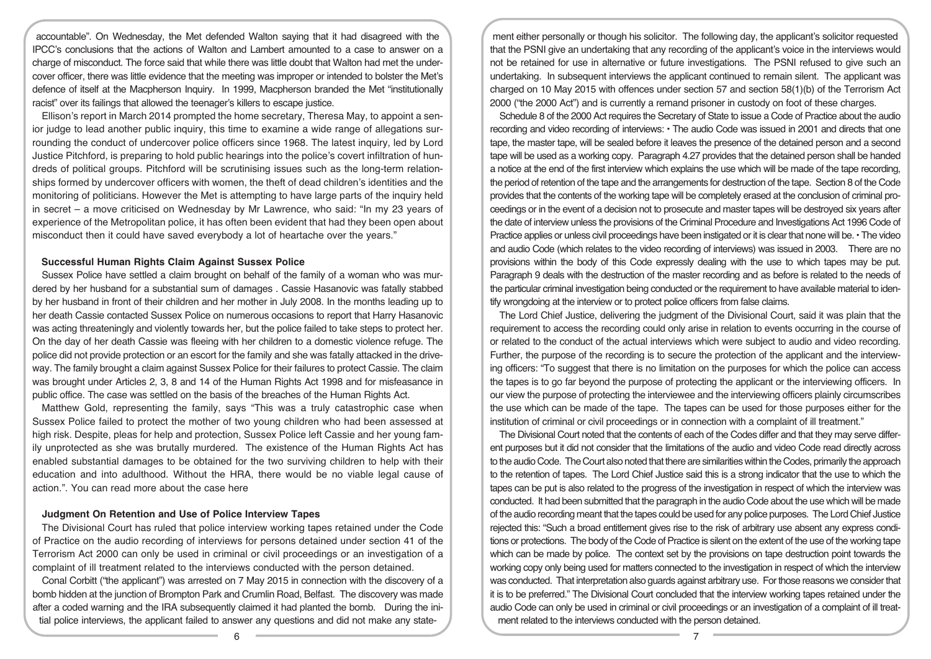accountable". On Wednesday, the Met defended Walton saying that it had disagreed with the IPCC's conclusions that the actions of Walton and Lambert amounted to a case to answer on a charge of misconduct. The force said that while there was little doubt that Walton had met the undercover officer, there was little evidence that the meeting was improper or intended to bolster the Met's defence of itself at the Macpherson Inquiry. In 1999, Macpherson branded the Met "institutionally racist" over its failings that allowed the teenager's killers to escape justice.

Ellison's report in March 2014 prompted the home secretary, Theresa May, to appoint a senior judge to lead another public inquiry, this time to examine a wide range of allegations surrounding the conduct of undercover police officers since 1968. The latest inquiry, led by Lord Justice Pitchford, is preparing to hold public hearings into the police's covert infiltration of hundreds of political groups. Pitchford will be scrutinising issues such as the long-term relationships formed by undercover officers with women, the theft of dead children's identities and the monitoring of politicians. However the Met is attempting to have large parts of the inquiry held in secret – a move criticised on Wednesday by Mr Lawrence, who said: "In my 23 years of experience of the Metropolitan police, it has often been evident that had they been open about misconduct then it could have saved everybody a lot of heartache over the years."

### **Successful Human Rights Claim Against Sussex Police**

Sussex Police have settled a claim brought on behalf of the family of a woman who was murdered by her husband for a substantial sum of damages . Cassie Hasanovic was fatally stabbed by her husband in front of their children and her mother in July 2008. In the months leading up to her death Cassie contacted Sussex Police on numerous occasions to report that Harry Hasanovic was acting threateningly and violently towards her, but the police failed to take steps to protect her. On the day of her death Cassie was fleeing with her children to a domestic violence refuge. The police did not provide protection or an escort for the family and she was fatally attacked in the driveway. The family brought a claim against Sussex Police for their failures to protect Cassie. The claim was brought under Articles 2, 3, 8 and 14 of the Human Rights Act 1998 and for misfeasance in public office. The case was settled on the basis of the breaches of the Human Rights Act.

Matthew Gold, representing the family, says "This was a truly catastrophic case when Sussex Police failed to protect the mother of two young children who had been assessed at high risk. Despite, pleas for help and protection, Sussex Police left Cassie and her young family unprotected as she was brutally murdered. The existence of the Human Rights Act has enabled substantial damages to be obtained for the two surviving children to help with their education and into adulthood. Without the HRA, there would be no viable legal cause of action.". You can read more about the case here

## **Judgment On Retention and Use of Police Interview Tapes**

The Divisional Court has ruled that police interview working tapes retained under the Code of Practice on the audio recording of interviews for persons detained under section 41 of the Terrorism Act 2000 can only be used in criminal or civil proceedings or an investigation of a complaint of ill treatment related to the interviews conducted with the person detained.

Conal Corbitt ("the applicant") was arrested on 7 May 2015 in connection with the discovery of a bomb hidden at the junction of Brompton Park and Crumlin Road, Belfast. The discovery was made after a coded warning and the IRA subsequently claimed it had planted the bomb. During the initial police interviews, the applicant failed to answer any questions and did not make any state-

ment either personally or though his solicitor. The following day, the applicant's solicitor requested that the PSNI give an undertaking that any recording of the applicant's voice in the interviews would not be retained for use in alternative or future investigations. The PSNI refused to give such an undertaking. In subsequent interviews the applicant continued to remain silent. The applicant was charged on 10 May 2015 with offences under section 57 and section 58(1)(b) of the Terrorism Act 2000 ("the 2000 Act") and is currently a remand prisoner in custody on foot of these charges.

Schedule 8 of the 2000 Act requires the Secretary of State to issue a Code of Practice about the audio recording and video recording of interviews: • The audio Code was issued in 2001 and directs that one tape, the master tape, will be sealed before it leaves the presence of the detained person and a second tape will be used as a working copy. Paragraph 4.27 provides that the detained person shall be handed a notice at the end of the first interview which explains the use which will be made of the tape recording, the period ofretention of the tape and the arrangements for destruction of the tape. Section 8 of the Code provides that the contents of the working tape will be completely erased at the conclusion of criminal proceedings or in the event of a decision not to prosecute and master tapes will be destroyed six years after the date of interview unless the provisions of the Criminal Procedure and Investigations Act 1996 Code of Practice applies or unless civil proceedings have been instigated or it is clear that none will be. • The video and audio Code (which relates to the video recording of interviews) was issued in 2003. There are no provisions within the body of this Code expressly dealing with the use to which tapes may be put. Paragraph 9 deals with the destruction of the master recording and as before is related to the needs of the particular criminal investigation being conducted or the requirement to have available material to identify wrongdoing at the interview or to protect police officers from false claims.

The Lord Chief Justice, delivering the judgment of the Divisional Court, said it was plain that the requirement to access the recording could only arise in relation to events occurring in the course of or related to the conduct of the actual interviews which were subject to audio and video recording. Further, the purpose of the recording is to secure the protection of the applicant and the interviewing officers: "To suggest that there is no limitation on the purposes for which the police can access the tapes is to go far beyond the purpose of protecting the applicant or the interviewing officers. In our view the purpose of protecting the interviewee and the interviewing officers plainly circumscribes the use which can be made of the tape. The tapes can be used for those purposes either for the institution of criminal or civil proceedings or in connection with a complaint of ill treatment."

The Divisional Court noted that the contents of each of the Codes differ and that they may serve different purposes but it did not consider that the limitations of the audio and video Code read directly across to the audio Code. The Court also noted that there are similarities within the Codes, primarily the approach to the retention of tapes. The Lord Chief Justice said this is a strong indicator that the use to which the tapes can be put is also related to the progress of the investigation in respect of which the interview was conducted. It had been submitted that the paragraph in the audio Code about the use which will be made of the audio recording meant that the tapes could be used for any police purposes. The Lord Chief Justice rejected this: "Such a broad entitlement gives rise to the risk of arbitrary use absent any express conditions or protections. The body of the Code of Practice is silent on the extent of the use of the working tape which can be made by police. The context set by the provisions on tape destruction point towards the working copy only being used for matters connected to the investigation in respect of which the interview was conducted. That interpretation also quards against arbitrary use. For those reasons we consider that it is to be preferred." The Divisional Court concluded that the interview working tapes retained under the audio Code can only be used in criminal or civil proceedings or an investigation of a complaint of ill treatment related to the interviews conducted with the person detained.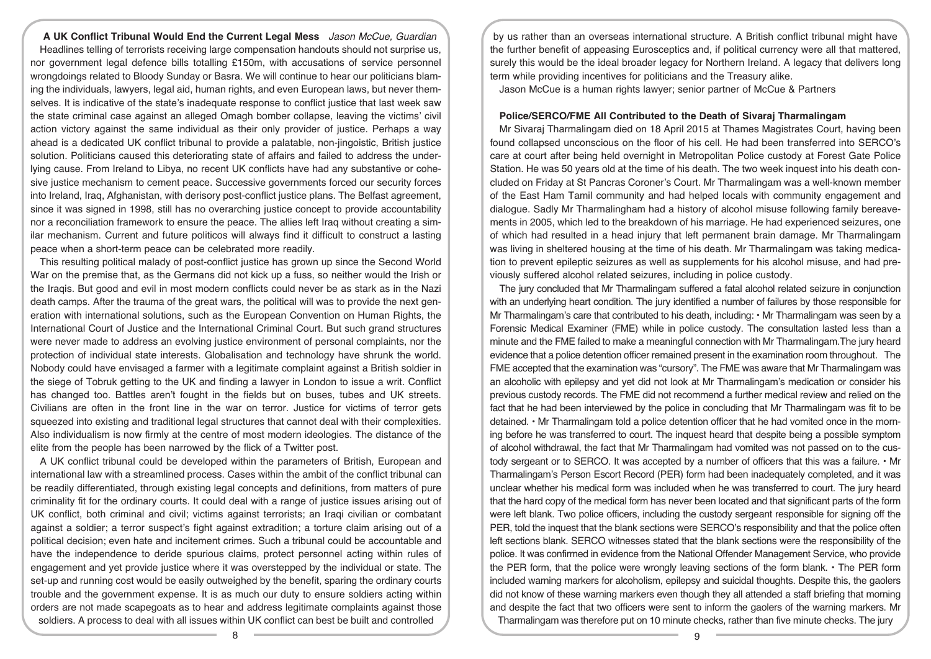**A UK Conflict Tribunal Would End the Current Legal Mess** *Jason McCue, Guardian* Headlines telling of terrorists receiving large compensation handouts should not surprise us, nor government legal defence bills totalling £150m, with accusations of service personnel wrongdoings related to Bloody Sunday or Basra. We will continue to hear our politicians blaming the individuals, lawyers, legal aid, human rights, and even European laws, but never themselves. It is indicative of the state's inadequate response to conflict justice that last week saw the state criminal case against an alleged Omagh bomber collapse, leaving the victims' civil action victory against the same individual as their only provider of justice. Perhaps a way ahead is a dedicated UK conflict tribunal to provide a palatable, non-jingoistic, British justice solution. Politicians caused this deteriorating state of affairs and failed to address the underlying cause. From Ireland to Libya, no recent UK conflicts have had any substantive or cohesive justice mechanism to cement peace. Successive governments forced our security forces into Ireland, Iraq, Afghanistan, with derisory post-conflict justice plans. The Belfast agreement, since it was signed in 1998, still has no overarching justice concept to provide accountability nor a reconciliation framework to ensure the peace. The allies left Iraq without creating a similar mechanism. Current and future politicos will always find it difficult to construct a lasting peace when a short-term peace can be celebrated more readily.

This resulting political malady of post-conflict justice has grown up since the Second World War on the premise that, as the Germans did not kick up a fuss, so neither would the Irish or the Iraqis. But good and evil in most modern conflicts could never be as stark as in the Nazi death camps. After the trauma of the great wars, the political will was to provide the next generation with international solutions, such as the European Convention on Human Rights, the International Court of Justice and the International Criminal Court. But such grand structures were never made to address an evolving justice environment of personal complaints, nor the protection of individual state interests. Globalisation and technology have shrunk the world. Nobody could have envisaged a farmer with a legitimate complaint against a British soldier in the siege of Tobruk getting to the UK and finding a lawyer in London to issue a writ. Conflict has changed too. Battles aren't fought in the fields but on buses, tubes and UK streets. Civilians are often in the front line in the war on terror. Justice for victims of terror gets squeezed into existing and traditional legal structures that cannot deal with their complexities. Also individualism is now firmly at the centre of most modern ideologies. The distance of the elite from the people has been narrowed by the flick of a Twitter post.

A UK conflict tribunal could be developed within the parameters of British, European and international law with a streamlined process. Cases within the ambit of the conflict tribunal can be readily differentiated, through existing legal concepts and definitions, from matters of pure criminality fit for the ordinary courts. It could deal with a range of justice issues arising out of UK conflict, both criminal and civil; victims against terrorists; an Iraqi civilian or combatant against a soldier; a terror suspect's fight against extradition; a torture claim arising out of a political decision; even hate and incitement crimes. Such a tribunal could be accountable and have the independence to deride spurious claims, protect personnel acting within rules of engagement and yet provide justice where it was overstepped by the individual or state. The set-up and running cost would be easily outweighed by the benefit, sparing the ordinary courts trouble and the government expense. It is as much our duty to ensure soldiers acting within orders are not made scapegoats as to hear and address legitimate complaints against those soldiers. A process to deal with all issues within UK conflict can best be built and controlled

by us rather than an overseas international structure. A British conflict tribunal might have the further benefit of appeasing Eurosceptics and, if political currency were all that mattered, surely this would be the ideal broader legacy for Northern Ireland. A legacy that delivers long term while providing incentives for politicians and the Treasury alike.

Jason McCue is a human rights lawyer; senior partner of McCue & Partners

#### **Police/SERCO/FME All Contributed to the Death of Sivaraj Tharmalingam**

Mr Sivaraj Tharmalingam died on 18 April 2015 at Thames Magistrates Court, having been found collapsed unconscious on the floor of his cell. He had been transferred into SERCO's care at court after being held overnight in Metropolitan Police custody at Forest Gate Police Station. He was 50 years old at the time of his death. The two week inquest into his death concluded on Friday at St Pancras Coroner's Court. Mr Tharmalingam was a well-known member of the East Ham Tamil community and had helped locals with community engagement and dialogue. Sadly Mr Tharmalingham had a history of alcohol misuse following family bereavements in 2005, which led to the breakdown of his marriage. He had experienced seizures, one of which had resulted in a head injury that left permanent brain damage. Mr Tharmalingam was living in sheltered housing at the time of his death. Mr Tharmalingam was taking medication to prevent epileptic seizures as well as supplements for his alcohol misuse, and had previously suffered alcohol related seizures, including in police custody.

The jury concluded that Mr Tharmalingam suffered a fatal alcohol related seizure in conjunction with an underlying heart condition. The jury identified a number of failures by those responsible for Mr Tharmalingam's care that contributed to his death, including: • Mr Tharmalingam was seen by a Forensic Medical Examiner (FME) while in police custody. The consultation lasted less than a minute and the FME failed to make a meaningful connection with Mr Tharmalingam.The jury heard evidence that a police detention officer remained present in the examination room throughout. The FME accepted that the examination was "cursory". The FME was aware that Mr Tharmalingam was an alcoholic with epilepsy and yet did not look at Mr Tharmalingam's medication or consider his previous custody records. The FME did not recommend a further medical review and relied on the fact that he had been interviewed by the police in concluding that Mr Tharmalingam was fit to be detained. • Mr Tharmalingam told a police detention officer that he had vomited once in the morning before he was transferred to court. The inquest heard that despite being a possible symptom of alcohol withdrawal, the fact that Mr Tharmalingam had vomited was not passed on to the custody sergeant or to SERCO. It was accepted by a number of officers that this was a failure. • Mr Tharmalingam's Person Escort Record (PER) form had been inadequately completed, and it was unclear whether his medical form was included when he was transferred to court. The jury heard that the hard copy of the medical form has never been located and that significant parts of the form were left blank. Two police officers, including the custody sergeant responsible for signing off the PER, told the inquest that the blank sections were SERCO's responsibility and that the police often left sections blank. SERCO witnesses stated that the blank sections were the responsibility of the police. It was confirmed in evidence from the National Offender Management Service, who provide the PER form, that the police were wrongly leaving sections of the form blank. • The PER form included warning markers for alcoholism, epilepsy and suicidal thoughts. Despite this, the gaolers did not know of these warning markers even though they all attended a staff briefing that morning and despite the fact that two officers were sent to inform the gaolers of the warning markers. Mr Tharmalingam was therefore put on 10 minute checks, rather than five minute checks. The jury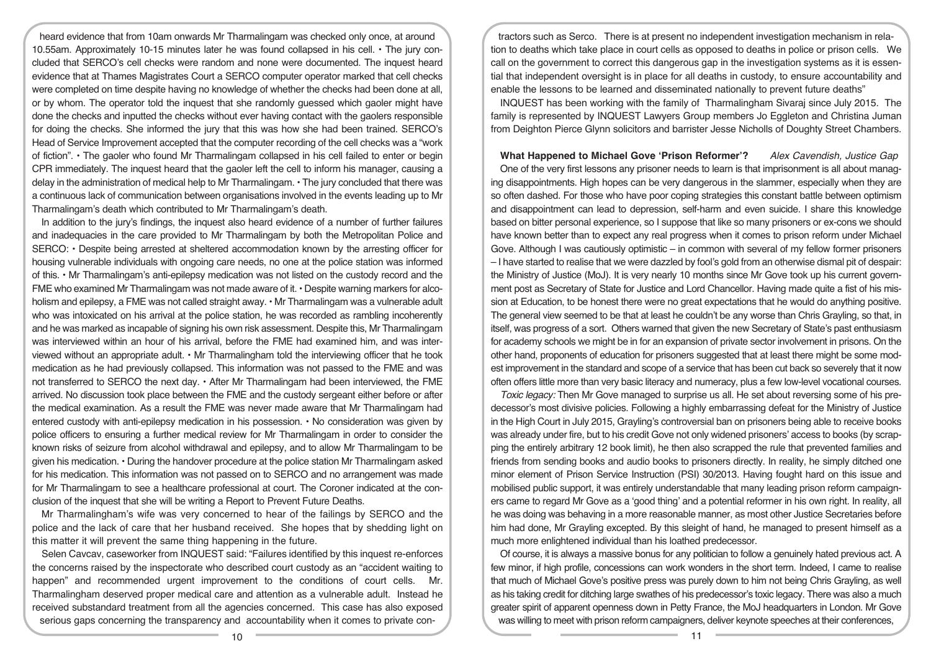heard evidence that from 10am onwards Mr Tharmalingam was checked only once, at around 10.55am. Approximately 10-15 minutes later he was found collapsed in his cell. • The jury concluded that SERCO's cell checks were random and none were documented. The inquest heard evidence that at Thames Magistrates Court a SERCO computer operator marked that cell checks were completed on time despite having no knowledge of whether the checks had been done at all, or by whom. The operator told the inquest that she randomly guessed which gaoler might have done the checks and inputted the checks without ever having contact with the gaolers responsible for doing the checks. She informed the jury that this was how she had been trained. SERCO's Head of Service Improvement accepted that the computer recording of the cell checks was a "work of fiction". • The gaoler who found Mr Tharmalingam collapsed in his cell failed to enter or begin CPR immediately. The inquest heard that the gaoler left the cell to inform his manager, causing a delay in the administration of medical help to Mr Tharmalingam. • The jury concluded that there was a continuous lack of communication between organisations involved in the events leading up to Mr Tharmalingam's death which contributed to Mr Tharmalingam's death.

In addition to the jury's findings, the inquest also heard evidence of a number of further failures and inadequacies in the care provided to Mr Tharmalingam by both the Metropolitan Police and SERCO: • Despite being arrested at sheltered accommodation known by the arresting officer for housing vulnerable individuals with ongoing care needs, no one at the police station was informed of this. • Mr Tharmalingam's anti-epilepsy medication was not listed on the custody record and the FME who examined Mr Tharmalingam was not made aware of it. • Despite warning markers for alcoholism and epilepsy, a FME was not called straight away. • Mr Tharmalingam was a vulnerable adult who was intoxicated on his arrival at the police station, he was recorded as rambling incoherently and he was marked as incapable of signing his own risk assessment. Despite this, Mr Tharmalingam was interviewed within an hour of his arrival, before the FME had examined him, and was interviewed without an appropriate adult. • Mr Tharmalingham told the interviewing officer that he took medication as he had previously collapsed. This information was not passed to the FME and was not transferred to SERCO the next day. • After Mr Tharmalingam had been interviewed, the FME arrived. No discussion took place between the FME and the custody sergeant either before or after the medical examination. As a result the FME was never made aware that Mr Tharmalingam had entered custody with anti-epilepsy medication in his possession. • No consideration was given by police officers to ensuring a further medical review for Mr Tharmalingam in order to consider the known risks of seizure from alcohol withdrawal and epilepsy, and to allow Mr Tharmalingam to be given his medication. • During the handover procedure at the police station Mr Tharmalingam asked for his medication. This information was not passed on to SERCO and no arrangement was made for Mr Tharmalingam to see a healthcare professional at court. The Coroner indicated at the conclusion of the inquest that she will be writing a Report to Prevent Future Deaths.

Mr Tharmalingham's wife was very concerned to hear of the failings by SERCO and the police and the lack of care that her husband received. She hopes that by shedding light on this matter it will prevent the same thing happening in the future.

Selen Cavcav, caseworker from INQUEST said: "Failures identified by this inquest re-enforces the concerns raised by the inspectorate who described court custody as an "accident waiting to happen" and recommended urgent improvement to the conditions of court cells. Mr. Tharmalingham deserved proper medical care and attention as a vulnerable adult. Instead he received substandard treatment from all the agencies concerned. This case has also exposed serious gaps concerning the transparency and accountability when it comes to private con-

tractors such as Serco. There is at present no independent investigation mechanism in relation to deaths which take place in court cells as opposed to deaths in police or prison cells. We call on the government to correct this dangerous gap in the investigation systems as it is essential that independent oversight is in place for all deaths in custody, to ensure accountability and enable the lessons to be learned and disseminated nationally to prevent future deaths"

INQUEST has been working with the family of Tharmalingham Sivaraj since July 2015. The family is represented by INQUEST Lawyers Group members Jo Eggleton and Christina Juman from Deighton Pierce Glynn solicitors and barrister Jesse Nicholls of Doughty Street Chambers.

**What Happened to Michael Gove 'Prison Reformer'?** *Alex Cavendish, Justice Gap* One of the very first lessons any prisoner needs to learn is that imprisonment is all about managing disappointments. High hopes can be very dangerous in the slammer, especially when they are so often dashed. For those who have poor coping strategies this constant battle between optimism and disappointment can lead to depression, self-harm and even suicide. I share this knowledge based on bitter personal experience, so I suppose that like so many prisoners or ex-cons we should have known better than to expect any real progress when it comes to prison reform under Michael Gove. Although I was cautiously optimistic – in common with several of my fellow former prisoners – I have started to realise that we were dazzled by fool's gold from an otherwise dismal pit of despair: the Ministry of Justice (MoJ). It is very nearly 10 months since Mr Gove took up his current government post as Secretary of State for Justice and Lord Chancellor. Having made quite a fist of his mission at Education, to be honest there were no great expectations that he would do anything positive. The general view seemed to be that at least he couldn't be any worse than Chris Grayling, so that, in itself, was progress of a sort. Others warned that given the new Secretary of State's past enthusiasm for academy schools we might be in for an expansion of private sector involvement in prisons. On the other hand, proponents of education for prisoners suggested that at least there might be some modest improvement in the standard and scope of a service that has been cut back so severely that it now often offers little more than very basic literacy and numeracy, plus a few low-level vocational courses.

*Toxic legacy:* Then Mr Gove managed to surprise us all. He set about reversing some of his predecessor's most divisive policies. Following a highly embarrassing defeat for the Ministry of Justice in the High Court in July 2015, Grayling's controversial ban on prisoners being able to receive books was already under fire, but to his credit Gove not only widened prisoners' access to books (by scrapping the entirely arbitrary 12 book limit), he then also scrapped the rule that prevented families and friends from sending books and audio books to prisoners directly. In reality, he simply ditched one minor element of Prison Service Instruction (PSI) 30/2013. Having fought hard on this issue and mobilised public support, it was entirely understandable that many leading prison reform campaigners came to regard Mr Gove as a 'good thing' and a potential reformer in his own right. In reality, all he was doing was behaving in a more reasonable manner, as most other Justice Secretaries before him had done, Mr Grayling excepted. By this sleight of hand, he managed to present himself as a much more enlightened individual than his loathed predecessor.

Of course, it is always a massive bonus for any politician to follow a genuinely hated previous act. A few minor, if high profile, concessions can work wonders in the short term. Indeed, I came to realise that much of Michael Gove's positive press was purely down to him not being Chris Grayling, as well as his taking credit for ditching large swathes of his predecessor's toxic legacy. There was also a much greater spirit of apparent openness down in Petty France, the MoJ headquarters in London. Mr Gove was willing to meet with prison reform campaigners, deliver keynote speeches at their conferences,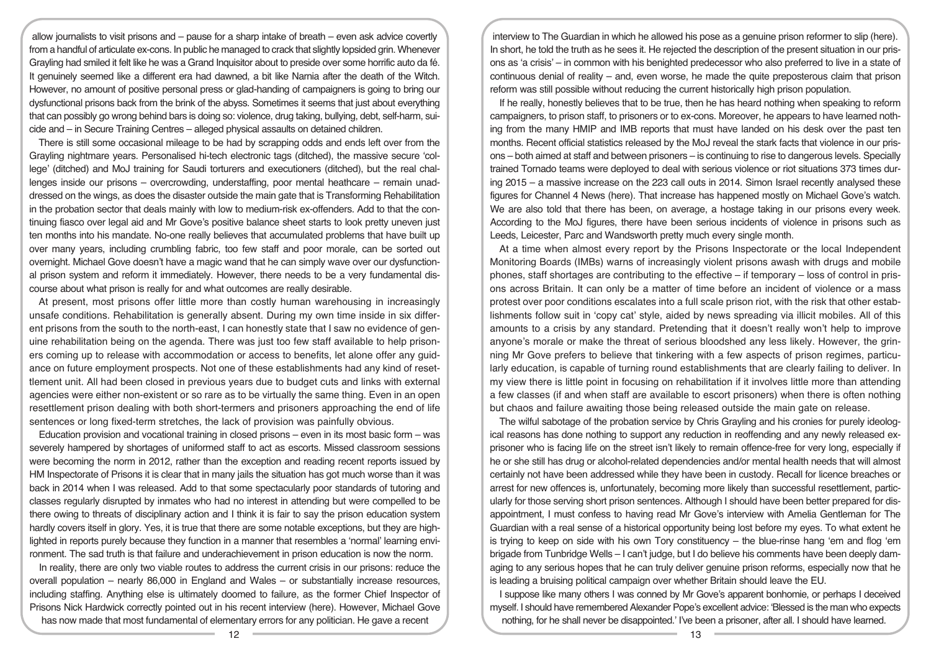allow journalists to visit prisons and – pause for a sharp intake of breath – even ask advice covertly from a handful of articulate ex-cons. In public he managed to crack that slightly lopsided grin. Whenever Grayling had smiled it felt like he was a Grand Inquisitor about to preside over some horrific auto da fé. It genuinely seemed like a different era had dawned, a bit like Narnia after the death of the Witch. However, no amount of positive personal press or glad-handing of campaigners is going to bring our dysfunctional prisons back from the brink of the abyss. Sometimes it seems that just about everything that can possibly go wrong behind bars is doing so: violence, drug taking, bullying, debt, self-harm, suicide and – in Secure Training Centres – alleged physical assaults on detained children.

There is still some occasional mileage to be had by scrapping odds and ends left over from the Grayling nightmare years. Personalised hi-tech electronic tags (ditched), the massive secure 'college' (ditched) and MoJ training for Saudi torturers and executioners (ditched), but the real challenges inside our prisons – overcrowding, understaffing, poor mental heathcare – remain unaddressed on the wings, as does the disaster outside the main gate that is Transforming Rehabilitation in the probation sector that deals mainly with low to medium-risk ex-offenders. Add to that the continuing fiasco over legal aid and Mr Gove's positive balance sheet starts to look pretty uneven just ten months into his mandate. No-one really believes that accumulated problems that have built up over many years, including crumbling fabric, too few staff and poor morale, can be sorted out overnight. Michael Gove doesn't have a magic wand that he can simply wave over our dysfunctional prison system and reform it immediately. However, there needs to be a very fundamental discourse about what prison is really for and what outcomes are really desirable.

At present, most prisons offer little more than costly human warehousing in increasingly unsafe conditions. Rehabilitation is generally absent. During my own time inside in six different prisons from the south to the north-east, I can honestly state that I saw no evidence of genuine rehabilitation being on the agenda. There was just too few staff available to help prisoners coming up to release with accommodation or access to benefits, let alone offer any guidance on future employment prospects. Not one of these establishments had any kind of resettlement unit. All had been closed in previous years due to budget cuts and links with external agencies were either non-existent or so rare as to be virtually the same thing. Even in an open resettlement prison dealing with both short-termers and prisoners approaching the end of life sentences or long fixed-term stretches, the lack of provision was painfully obvious.

Education provision and vocational training in closed prisons – even in its most basic form – was severely hampered by shortages of uniformed staff to act as escorts. Missed classroom sessions were becoming the norm in 2012, rather than the exception and reading recent reports issued by HM Inspectorate of Prisons it is clear that in many jails the situation has got much worse than it was back in 2014 when I was released. Add to that some spectacularly poor standards of tutoring and classes regularly disrupted by inmates who had no interest in attending but were compelled to be there owing to threats of disciplinary action and I think it is fair to say the prison education system hardly covers itself in glory. Yes, it is true that there are some notable exceptions, but they are highlighted in reports purely because they function in a manner that resembles a 'normal' learning environment. The sad truth is that failure and underachievement in prison education is now the norm.

In reality, there are only two viable routes to address the current crisis in our prisons: reduce the overall population – nearly 86,000 in England and Wales – or substantially increase resources, including staffing. Anything else is ultimately doomed to failure, as the former Chief Inspector of Prisons Nick Hardwick correctly pointed out in his recent interview (here). However, Michael Gove has now made that most fundamental of elementary errors for any politician. He gave a recent

interview to The Guardian in which he allowed his pose as a genuine prison reformer to slip (here). In short, he told the truth as he sees it. He rejected the description of the present situation in our prisons as 'a crisis' – in common with his benighted predecessor who also preferred to live in a state of continuous denial of reality – and, even worse, he made the quite preposterous claim that prison reform was still possible without reducing the current historically high prison population.

If he really, honestly believes that to be true, then he has heard nothing when speaking to reform campaigners, to prison staff, to prisoners or to ex-cons. Moreover, he appears to have learned nothing from the many HMIP and IMB reports that must have landed on his desk over the past ten months. Recent official statistics released by the MoJ reveal the stark facts that violence in our prisons – both aimed at staff and between prisoners – is continuing to rise to dangerous levels. Specially trained Tornado teams were deployed to deal with serious violence or riot situations 373 times during 2015 – a massive increase on the 223 call outs in 2014. Simon Israel recently analysed these figures for Channel 4 News (here). That increase has happened mostly on Michael Gove's watch. We are also told that there has been, on average, a hostage taking in our prisons every week. According to the MoJ figures, there have been serious incidents of violence in prisons such as Leeds, Leicester, Parc and Wandsworth pretty much every single month.

At a time when almost every report by the Prisons Inspectorate or the local Independent Monitoring Boards (IMBs) warns of increasingly violent prisons awash with drugs and mobile phones, staff shortages are contributing to the effective – if temporary – loss of control in prisons across Britain. It can only be a matter of time before an incident of violence or a mass protest over poor conditions escalates into a full scale prison riot, with the risk that other establishments follow suit in 'copy cat' style, aided by news spreading via illicit mobiles. All of this amounts to a crisis by any standard. Pretending that it doesn't really won't help to improve anyone's morale or make the threat of serious bloodshed any less likely. However, the grinning Mr Gove prefers to believe that tinkering with a few aspects of prison regimes, particularly education, is capable of turning round establishments that are clearly failing to deliver. In my view there is little point in focusing on rehabilitation if it involves little more than attending a few classes (if and when staff are available to escort prisoners) when there is often nothing but chaos and failure awaiting those being released outside the main gate on release.

The wilful sabotage of the probation service by Chris Grayling and his cronies for purely ideological reasons has done nothing to support any reduction in reoffending and any newly released exprisoner who is facing life on the street isn't likely to remain offence-free for very long, especially if he or she still has drug or alcohol-related dependencies and/or mental health needs that will almost certainly not have been addressed while they have been in custody. Recall for licence breaches or arrest for new offences is, unfortunately, becoming more likely than successful resettlement, particularly for those serving short prison sentences. Although I should have been better prepared for disappointment, I must confess to having read Mr Gove's interview with Amelia Gentleman for The Guardian with a real sense of a historical opportunity being lost before my eyes. To what extent he is trying to keep on side with his own Tory constituency – the blue-rinse hang 'em and flog 'em brigade from Tunbridge Wells – I can't judge, but I do believe his comments have been deeply damaging to any serious hopes that he can truly deliver genuine prison reforms, especially now that he is leading a bruising political campaign over whether Britain should leave the EU.

I suppose like many others I was conned by Mr Gove's apparent bonhomie, or perhaps I deceived myself. I should have remembered Alexander Pope's excellent advice: 'Blessed is the man who expects nothing, for he shall never be disappointed.' I've been a prisoner, after all. I should have learned.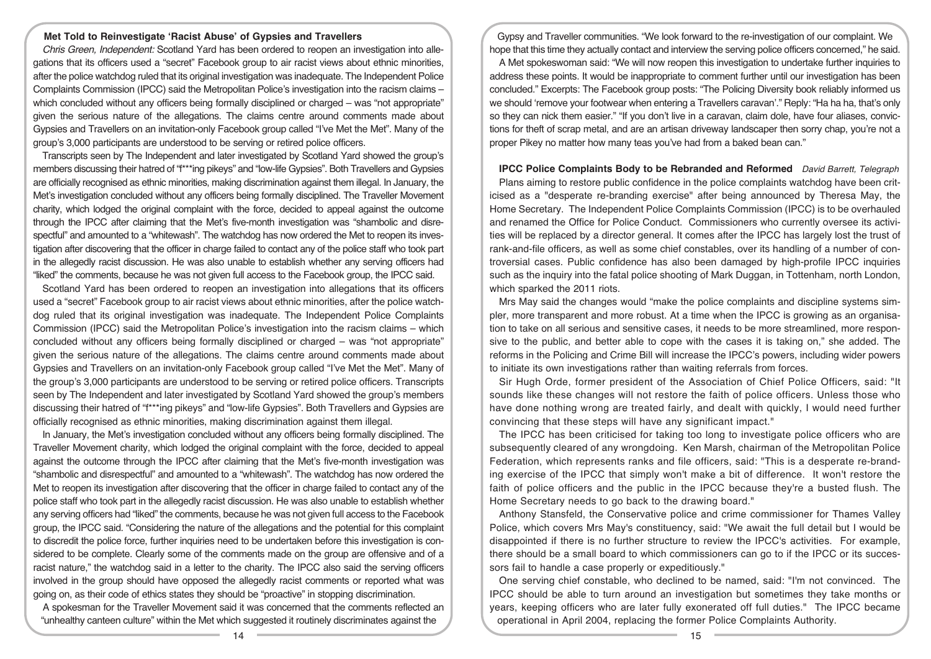#### **Met Told to Reinvestigate 'Racist Abuse' of Gypsies and Travellers**

*Chris Green, Independent:* Scotland Yard has been ordered to reopen an investigation into allegations that its officers used a "secret" Facebook group to air racist views about ethnic minorities, after the police watchdog ruled that its original investigation was inadequate. The Independent Police Complaints Commission (IPCC) said the Metropolitan Police's investigation into the racism claims – which concluded without any officers being formally disciplined or charged – was "not appropriate" given the serious nature of the allegations. The claims centre around comments made about Gypsies and Travellers on an invitation-only Facebook group called "I've Met the Met". Many of the group's 3,000 participants are understood to be serving or retired police officers.

Transcripts seen by The Independent and later investigated by Scotland Yard showed the group's members discussing their hatred of "f\*\*\*ing pikeys" and "low-life Gypsies". Both Travellers and Gypsies are officially recognised as ethnic minorities, making discrimination against them illegal. In January, the Met's investigation concluded without any officers being formally disciplined. The Traveller Movement charity, which lodged the original complaint with the force, decided to appeal against the outcome through the IPCC after claiming that the Met's five-month investigation was "shambolic and disrespectful" and amounted to a "whitewash". The watchdog has now ordered the Met to reopen its investigation after discovering that the officer in charge failed to contact any of the police staff who took part in the allegedly racist discussion. He was also unable to establish whether any serving officers had "liked" the comments, because he was not given full access to the Facebook group, the IPCC said.

Scotland Yard has been ordered to reopen an investigation into allegations that its officers used a "secret" Facebook group to air racist views about ethnic minorities, after the police watchdog ruled that its original investigation was inadequate. The Independent Police Complaints Commission (IPCC) said the Metropolitan Police's investigation into the racism claims – which concluded without any officers being formally disciplined or charged – was "not appropriate" given the serious nature of the allegations. The claims centre around comments made about Gypsies and Travellers on an invitation-only Facebook group called "I've Met the Met". Many of the group's 3,000 participants are understood to be serving or retired police officers. Transcripts seen by The Independent and later investigated by Scotland Yard showed the group's members discussing their hatred of "f\*\*\*ing pikeys" and "low-life Gypsies". Both Travellers and Gypsies are officially recognised as ethnic minorities, making discrimination against them illegal.

In January, the Met's investigation concluded without any officers being formally disciplined. The Traveller Movement charity, which lodged the original complaint with the force, decided to appeal against the outcome through the IPCC after claiming that the Met's five-month investigation was "shambolic and disrespectful" and amounted to a "whitewash". The watchdog has now ordered the Met to reopen its investigation after discovering that the officer in charge failed to contact any of the police staff who took part in the allegedly racist discussion. He was also unable to establish whether any serving officers had "liked" the comments, because he was not given full access to the Facebook group, the IPCC said. "Considering the nature of the allegations and the potential for this complaint to discredit the police force, further inquiries need to be undertaken before this investigation is considered to be complete. Clearly some of the comments made on the group are offensive and of a racist nature," the watchdog said in a letter to the charity. The IPCC also said the serving officers involved in the group should have opposed the allegedly racist comments or reported what was going on, as their code of ethics states they should be "proactive" in stopping discrimination.

A spokesman for the Traveller Movement said it was concerned that the comments reflected an "unhealthy canteen culture" within the Met which suggested it routinely discriminates against the

Gypsy and Traveller communities. "We look forward to the re-investigation of our complaint. We hope that this time they actually contact and interview the serving police officers concerned," he said.

A Met spokeswoman said: "We will now reopen this investigation to undertake further inquiries to address these points. It would be inappropriate to comment further until our investigation has been concluded." Excerpts: The Facebook group posts: "The Policing Diversity book reliably informed us we should 'remove your footwear when entering a Travellers caravan'." Reply: "Ha ha ha, that's only so they can nick them easier." "If you don't live in a caravan, claim dole, have four aliases, convictions for theft of scrap metal, and are an artisan driveway landscaper then sorry chap, you're not a proper Pikey no matter how many teas you've had from a baked bean can."

**IPCC Police Complaints Body to be Rebranded and Reformed** *David Barrett, Telegraph* Plans aiming to restore public confidence in the police complaints watchdog have been criticised as a "desperate re-branding exercise" after being announced by Theresa May, the Home Secretary. The Independent Police Complaints Commission (IPCC) is to be overhauled and renamed the Office for Police Conduct. Commissioners who currently oversee its activities will be replaced by a director general. It comes after the IPCC has largely lost the trust of rank-and-file officers, as well as some chief constables, over its handling of a number of controversial cases. Public confidence has also been damaged by high-profile IPCC inquiries such as the inquiry into the fatal police shooting of Mark Duggan, in Tottenham, north London, which sparked the 2011 riots.

Mrs May said the changes would "make the police complaints and discipline systems simpler, more transparent and more robust. At a time when the IPCC is growing as an organisation to take on all serious and sensitive cases, it needs to be more streamlined, more responsive to the public, and better able to cope with the cases it is taking on," she added. The reforms in the Policing and Crime Bill will increase the IPCC's powers, including wider powers to initiate its own investigations rather than waiting referrals from forces.

Sir Hugh Orde, former president of the Association of Chief Police Officers, said: "It sounds like these changes will not restore the faith of police officers. Unless those who have done nothing wrong are treated fairly, and dealt with quickly, I would need further convincing that these steps will have any significant impact."

The IPCC has been criticised for taking too long to investigate police officers who are subsequently cleared of any wrongdoing. Ken Marsh, chairman of the Metropolitan Police Federation, which represents ranks and file officers, said: "This is a desperate re-branding exercise of the IPCC that simply won't make a bit of difference. It won't restore the faith of police officers and the public in the IPCC because they're a busted flush. The Home Secretary needs to go back to the drawing board."

Anthony Stansfeld, the Conservative police and crime commissioner for Thames Valley Police, which covers Mrs May's constituency, said: "We await the full detail but I would be disappointed if there is no further structure to review the IPCC's activities. For example, there should be a small board to which commissioners can go to if the IPCC or its successors fail to handle a case properly or expeditiously."

One serving chief constable, who declined to be named, said: "I'm not convinced. The IPCC should be able to turn around an investigation but sometimes they take months or years, keeping officers who are later fully exonerated off full duties." The IPCC became operational in April 2004, replacing the former Police Complaints Authority.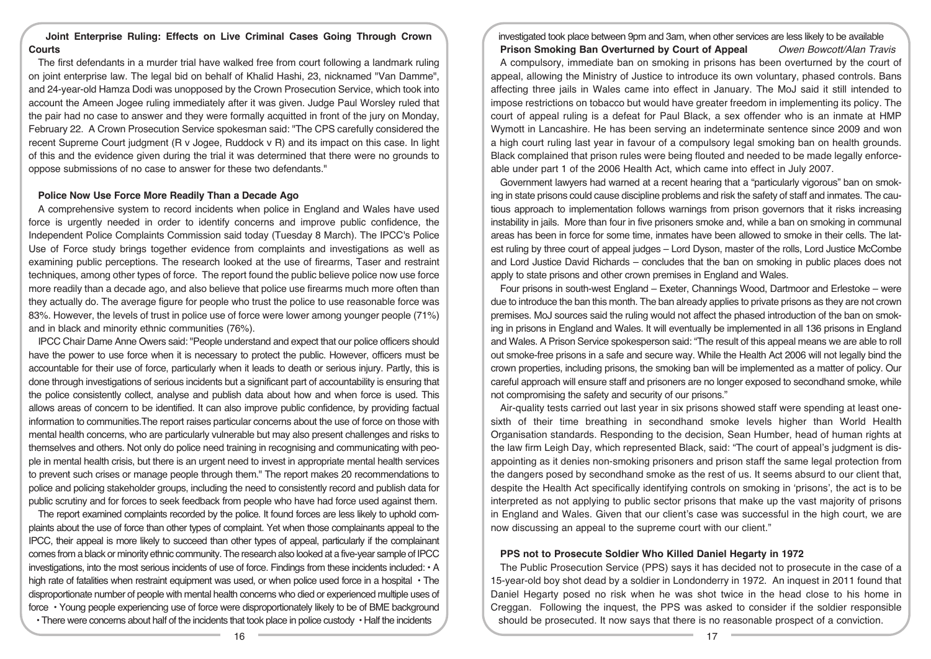## **Joint Enterprise Ruling: Effects on Live Criminal Cases Going Through Crown Courts**

The first defendants in a murder trial have walked free from court following a landmark ruling on joint enterprise law. The legal bid on behalf of Khalid Hashi, 23, nicknamed "Van Damme", and 24-year-old Hamza Dodi was unopposed by the Crown Prosecution Service, which took into account the Ameen Jogee ruling immediately after it was given. Judge Paul Worsley ruled that the pair had no case to answer and they were formally acquitted in front of the jury on Monday, February 22. A Crown Prosecution Service spokesman said: "The CPS carefully considered the recent Supreme Court judgment (R v Jogee, Ruddock v R) and its impact on this case. In light of this and the evidence given during the trial it was determined that there were no grounds to oppose submissions of no case to answer for these two defendants."

## **Police Now Use Force More Readily Than a Decade Ago**

A comprehensive system to record incidents when police in England and Wales have used force is urgently needed in order to identify concerns and improve public confidence, the Independent Police Complaints Commission said today (Tuesday 8 March). The IPCC's Police Use of Force study brings together evidence from complaints and investigations as well as examining public perceptions. The research looked at the use of firearms, Taser and restraint techniques, among other types of force. The report found the public believe police now use force more readily than a decade ago, and also believe that police use firearms much more often than they actually do. The average figure for people who trust the police to use reasonable force was 83%. However, the levels of trust in police use of force were lower among younger people (71%) and in black and minority ethnic communities (76%).

IPCC Chair Dame Anne Owers said: "People understand and expect that our police officers should have the power to use force when it is necessary to protect the public. However, officers must be accountable for their use of force, particularly when it leads to death or serious injury. Partly, this is done through investigations of serious incidents but a significant part of accountability is ensuring that the police consistently collect, analyse and publish data about how and when force is used. This allows areas of concern to be identified. It can also improve public confidence, by providing factual information to communities.The report raises particular concerns about the use of force on those with mental health concerns, who are particularly vulnerable but may also present challenges and risks to themselves and others. Not only do police need training in recognising and communicating with people in mental health crisis, but there is an urgent need to invest in appropriate mental health services to prevent such crises or manage people through them." The report makes 20 recommendations to police and policing stakeholder groups, including the need to consistently record and publish data for public scrutiny and for forces to seek feedback from people who have had force used against them.

The report examined complaints recorded by the police. It found forces are less likely to uphold complaints about the use of force than other types of complaint. Yet when those complainants appeal to the IPCC, their appeal is more likely to succeed than other types of appeal, particularly if the complainant comes from a black or minority ethnic community. The research also looked at a five-year sample of IPCC investigations, into the most serious incidents of use of force. Findings from these incidents included: • A high rate of fatalities when restraint equipment was used, or when police used force in a hospital • The disproportionate number of people with mental health concerns who died or experienced multiple uses of force • Young people experiencing use of force were disproportionately likely to be of BME background • There were concerns about half of the incidents that took place in police custody • Half the incidents

## investigated took place between 9pm and 3am, when other services are less likely to be available **Prison Smoking Ban Overturned by Court of Appeal** *Owen Bowcott/Alan Travis*

A compulsory, immediate ban on smoking in prisons has been overturned by the court of appeal, allowing the Ministry of Justice to introduce its own voluntary, phased controls. Bans affecting three jails in Wales came into effect in January. The MoJ said it still intended to impose restrictions on tobacco but would have greater freedom in implementing its policy. The court of appeal ruling is a defeat for Paul Black, a sex offender who is an inmate at HMP Wymott in Lancashire. He has been serving an indeterminate sentence since 2009 and won a high court ruling last year in favour of a compulsory legal smoking ban on health grounds. Black complained that prison rules were being flouted and needed to be made legally enforceable under part 1 of the 2006 Health Act, which came into effect in July 2007.

Government lawyers had warned at a recent hearing that a "particularly vigorous" ban on smoking in state prisons could cause discipline problems and risk the safety of staff and inmates. The cautious approach to implementation follows warnings from prison governors that it risks increasing instability in jails. More than four in five prisoners smoke and, while a ban on smoking in communal areas has been in force for some time, inmates have been allowed to smoke in their cells. The latest ruling by three court of appeal judges – Lord Dyson, master of the rolls, Lord Justice McCombe and Lord Justice David Richards – concludes that the ban on smoking in public places does not apply to state prisons and other crown premises in England and Wales.

Four prisons in south-west England – Exeter, Channings Wood, Dartmoor and Erlestoke – were due to introduce the ban this month. The ban already applies to private prisons as they are not crown premises. MoJ sources said the ruling would not affect the phased introduction of the ban on smoking in prisons in England and Wales. It will eventually be implemented in all 136 prisons in England and Wales. A Prison Service spokesperson said: "The result of this appeal means we are able to roll out smoke-free prisons in a safe and secure way. While the Health Act 2006 will not legally bind the crown properties, including prisons, the smoking ban will be implemented as a matter of policy. Our careful approach will ensure staff and prisoners are no longer exposed to secondhand smoke, while not compromising the safety and security of our prisons."

Air-quality tests carried out last year in six prisons showed staff were spending at least onesixth of their time breathing in secondhand smoke levels higher than World Health Organisation standards. Responding to the decision, Sean Humber, head of human rights at the law firm Leigh Day, which represented Black, said: "The court of appeal's judgment is disappointing as it denies non-smoking prisoners and prison staff the same legal protection from the dangers posed by secondhand smoke as the rest of us. It seems absurd to our client that, despite the Health Act specifically identifying controls on smoking in 'prisons', the act is to be interpreted as not applying to public sector prisons that make up the vast majority of prisons in England and Wales. Given that our client's case was successful in the high court, we are now discussing an appeal to the supreme court with our client."

## **PPS not to Prosecute Soldier Who Killed Daniel Hegarty in 1972**

The Public Prosecution Service (PPS) says it has decided not to prosecute in the case of a 15-year-old boy shot dead by a soldier in Londonderry in 1972. An inquest in 2011 found that Daniel Hegarty posed no risk when he was shot twice in the head close to his home in Creggan. Following the inquest, the PPS was asked to consider if the soldier responsible should be prosecuted. It now says that there is no reasonable prospect of a conviction.